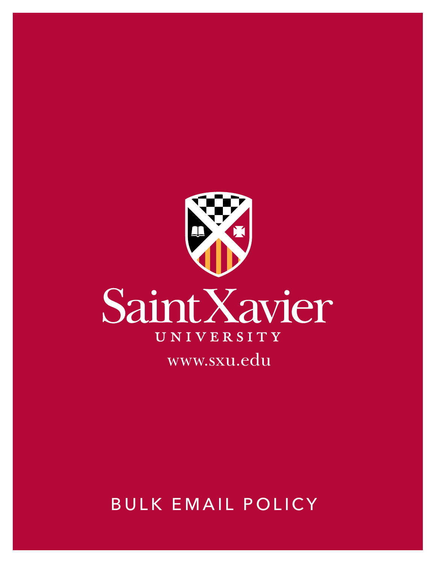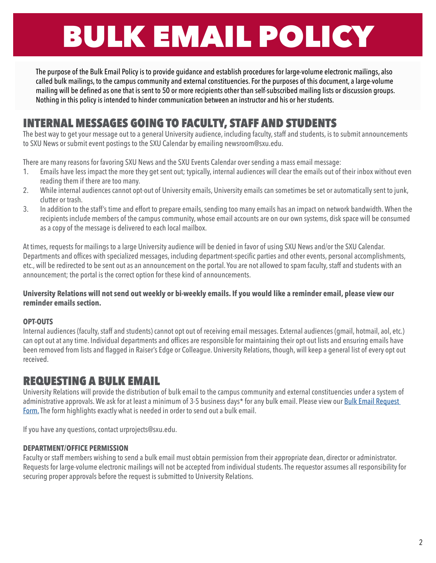The purpose of the Bulk Email Policy is to provide guidance and establish procedures for large-volume electronic mailings, also called bulk mailings, to the campus community and external constituencies. For the purposes of this document, a large-volume mailing will be defined as one that is sent to 50 or more recipients other than self-subscribed mailing lists or discussion groups. Nothing in this policy is intended to hinder communication between an instructor and his or her students.

# INTERNAL MESSAGES GOING TO FACULTY, STAFF AND STUDENTS

The best way to get your message out to a general University audience, including faculty, staff and students, is to submit announcements to SXU News or submit event postings to the SXU Calendar by emailing newsroom@sxu.edu.

There are many reasons for favoring SXU News and the SXU Events Calendar over sending a mass email message:

- 1. Emails have less impact the more they get sent out; typically, internal audiences will clear the emails out of their inbox without even reading them if there are too many.
- 2. While internal audiences cannot opt-out of University emails, University emails can sometimes be set or automatically sent to junk, clutter or trash.
- 3. In addition to the staff's time and effort to prepare emails, sending too many emails has an impact on network bandwidth. When the recipients include members of the campus community, whose email accounts are on our own systems, disk space will be consumed as a copy of the message is delivered to each local mailbox.

At times, requests for mailings to a large University audience will be denied in favor of using SXU News and/or the SXU Calendar. Departments and offices with specialized messages, including department-specific parties and other events, personal accomplishments, etc., will be redirected to be sent out as an announcement on the portal. You are not allowed to spam faculty, staff and students with an announcement; the portal is the correct option for these kind of announcements.

#### **University Relations will not send out weekly or bi-weekly emails. If you would like a reminder email, please view our reminder emails section.**

## **OPT-OUTS**

Internal audiences (faculty, staff and students) cannot opt out of receiving email messages. External audiences (gmail, hotmail, aol, etc.) can opt out at any time. Individual departments and offices are responsible for maintaining their opt-out lists and ensuring emails have been removed from lists and flagged in Raiser's Edge or Colleague. University Relations, though, will keep a general list of every opt out received.

## REQUESTING A BULK EMAIL

University Relations will provide the distribution of bulk email to the campus community and external constituencies under a system of administrative approvals. We ask for at least a minimum of 3-5 business days\* for any bulk email. Please view our **Bulk Email Request** [Form.](https://www.sxu.edu/about/offices/university-relations/bulk-email.aspx) The form highlights exactly what is needed in order to send out a bulk email.

If you have any questions, contact urprojects@sxu.edu.

## **DEPARTMENT/OFFICE PERMISSION**

Faculty or staff members wishing to send a bulk email must obtain permission from their appropriate dean, director or administrator. Requests for large-volume electronic mailings will not be accepted from individual students. The requestor assumes all responsibility for securing proper approvals before the request is submitted to University Relations.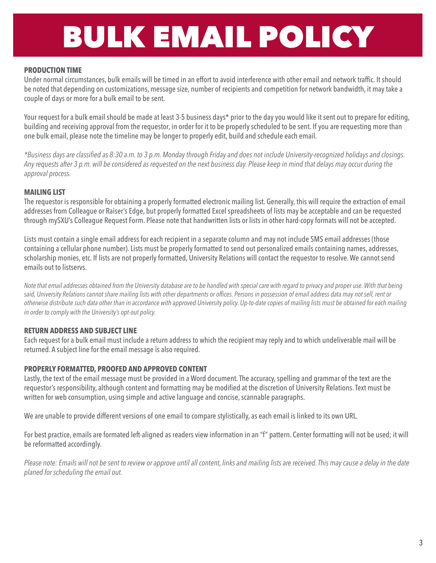#### **PRODUCTION TIME**

Under normal circumstances, bulk emails will be timed in an effort to avoid interference with other email and network traffic. It should be noted that depending on customizations, message size, number of recipients and competition for network bandwidth, it may take a couple of days or more for a bulk email to be sent.

Your request for a bulk email should be made at least 3-5 business days\* prior to the day you would like it sent out to prepare for editing, building and receiving approval from the requestor, in order for it to be properly scheduled to be sent. If you are requesting more than one bulk email, please note the timeline may be longer to properly edit, build and schedule each email.

*\*Business days are classified as 8:30 a.m. to 3 p.m. Monday through Friday and does not include University-recognized holidays and closings. Any requests after 3 p.m. will be considered as requested on the next business day. Please keep in mind that delays may occur during the approval process.* 

#### **MAILING LIST**

The requestor is responsible for obtaining a properly formatted electronic mailing list. Generally, this will require the extraction of email addresses from Colleague or Raiser's Edge, but properly formatted Excel spreadsheets of lists may be acceptable and can be requested through mySXU's Colleague Request Form. Please note that handwritten lists or lists in other hard-copy formats will not be accepted.

Lists must contain a single email address for each recipient in a separate column and may not include SMS email addresses (those containing a cellular phone number). Lists must be properly formatted to send out personalized emails containing names, addresses, scholarship monies, etc. If lists are not properly formatted, University Relations will contact the requestor to resolve. We cannot send emails out to listservs.

*Note that email addresses obtained from the University database are to be handled with special care with regard to privacy and proper use. With that being said, University Relations cannot share mailing lists with other departments or offices. Persons in possession of email address data may not sell, rent or otherwise distribute such data other than in accordance with approved University policy. Up-to-date copies of mailing lists must be obtained for each mailing in order to comply with the University's opt-out policy.*

#### **RETURN ADDRESS AND SUBJECT LINE**

Each request for a bulk email must include a return address to which the recipient may reply and to which undeliverable mail will be returned. A subject line for the email message is also required.

#### **PROPERLY FORMATTED, PROOFED AND APPROVED CONTENT**

Lastly, the text of the email message must be provided in a Word document. The accuracy, spelling and grammar of the text are the requestor's responsibility, although content and formatting may be modified at the discretion of University Relations. Text must be written for web consumption, using simple and active language and concise, scannable paragraphs.

We are unable to provide different versions of one email to compare stylistically, as each email is linked to its own URL.

For best practice, emails are formated left-aligned as readers view information in an "f" pattern. Center formatting will not be used; it will be reformatted accordingly.

*Please note: Emails will not be sent to review or approve until all content, links and mailing lists are received. This may cause a delay in the date planed for scheduling the email out.*